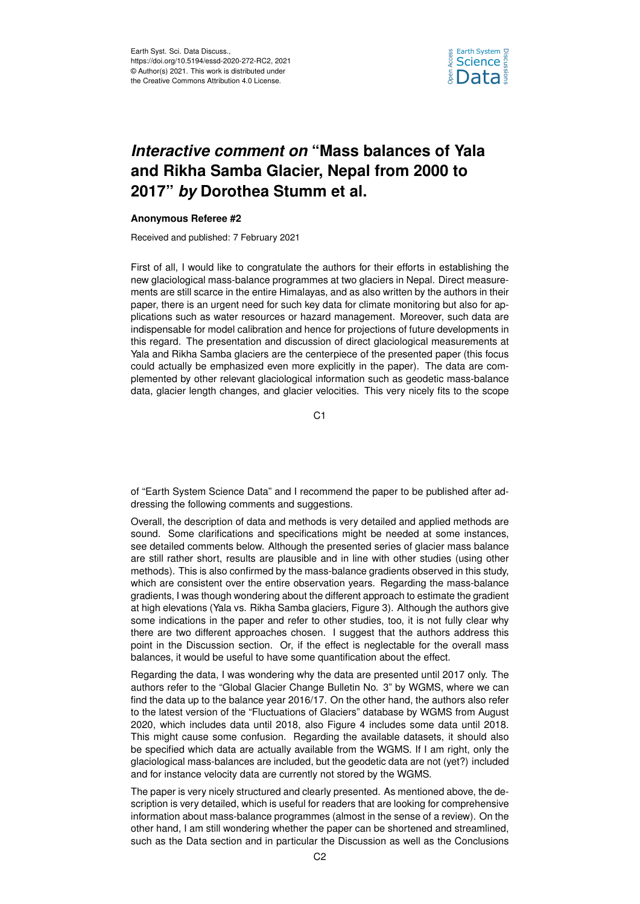

## *Interactive comment on* **"Mass balances of Yala and Rikha Samba Glacier, Nepal from 2000 to 2017"** *by* **Dorothea Stumm et al.**

## **Anonymous Referee #2**

Received and published: 7 February 2021

First of all, I would like to congratulate the authors for their efforts in establishing the new glaciological mass-balance programmes at two glaciers in Nepal. Direct measurements are still scarce in the entire Himalayas, and as also written by the authors in their paper, there is an urgent need for such key data for climate monitoring but also for applications such as water resources or hazard management. Moreover, such data are indispensable for model calibration and hence for projections of future developments in this regard. The presentation and discussion of direct glaciological measurements at Yala and Rikha Samba glaciers are the centerpiece of the presented paper (this focus could actually be emphasized even more explicitly in the paper). The data are complemented by other relevant glaciological information such as geodetic mass-balance data, glacier length changes, and glacier velocities. This very nicely fits to the scope

C1

of "Earth System Science Data" and I recommend the paper to be published after addressing the following comments and suggestions.

Overall, the description of data and methods is very detailed and applied methods are sound. Some clarifications and specifications might be needed at some instances, see detailed comments below. Although the presented series of glacier mass balance are still rather short, results are plausible and in line with other studies (using other methods). This is also confirmed by the mass-balance gradients observed in this study, which are consistent over the entire observation years. Regarding the mass-balance gradients, I was though wondering about the different approach to estimate the gradient at high elevations (Yala vs. Rikha Samba glaciers, Figure 3). Although the authors give some indications in the paper and refer to other studies, too, it is not fully clear why there are two different approaches chosen. I suggest that the authors address this point in the Discussion section. Or, if the effect is neglectable for the overall mass balances, it would be useful to have some quantification about the effect.

Regarding the data, I was wondering why the data are presented until 2017 only. The authors refer to the "Global Glacier Change Bulletin No. 3" by WGMS, where we can find the data up to the balance year 2016/17. On the other hand, the authors also refer to the latest version of the "Fluctuations of Glaciers" database by WGMS from August 2020, which includes data until 2018, also Figure 4 includes some data until 2018. This might cause some confusion. Regarding the available datasets, it should also be specified which data are actually available from the WGMS. If I am right, only the glaciological mass-balances are included, but the geodetic data are not (yet?) included and for instance velocity data are currently not stored by the WGMS.

The paper is very nicely structured and clearly presented. As mentioned above, the description is very detailed, which is useful for readers that are looking for comprehensive information about mass-balance programmes (almost in the sense of a review). On the other hand, I am still wondering whether the paper can be shortened and streamlined, such as the Data section and in particular the Discussion as well as the Conclusions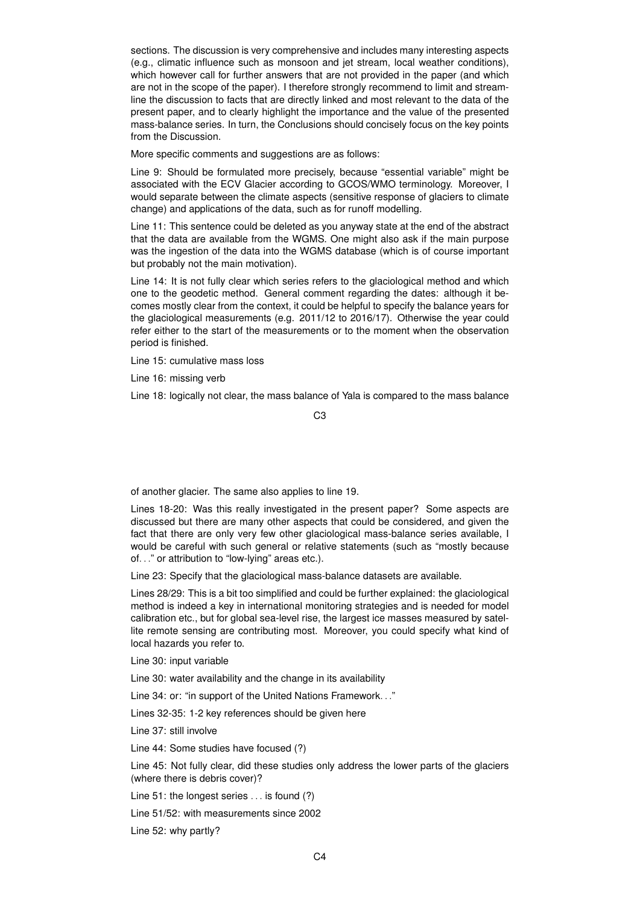sections. The discussion is very comprehensive and includes many interesting aspects (e.g., climatic influence such as monsoon and jet stream, local weather conditions), which however call for further answers that are not provided in the paper (and which are not in the scope of the paper). I therefore strongly recommend to limit and streamline the discussion to facts that are directly linked and most relevant to the data of the present paper, and to clearly highlight the importance and the value of the presented mass-balance series. In turn, the Conclusions should concisely focus on the key points from the Discussion.

More specific comments and suggestions are as follows:

Line 9: Should be formulated more precisely, because "essential variable" might be associated with the ECV Glacier according to GCOS/WMO terminology. Moreover, I would separate between the climate aspects (sensitive response of glaciers to climate change) and applications of the data, such as for runoff modelling.

Line 11: This sentence could be deleted as you anyway state at the end of the abstract that the data are available from the WGMS. One might also ask if the main purpose was the ingestion of the data into the WGMS database (which is of course important but probably not the main motivation).

Line 14: It is not fully clear which series refers to the glaciological method and which one to the geodetic method. General comment regarding the dates: although it becomes mostly clear from the context, it could be helpful to specify the balance years for the glaciological measurements (e.g. 2011/12 to 2016/17). Otherwise the year could refer either to the start of the measurements or to the moment when the observation period is finished.

Line 15: cumulative mass loss

Line 16: missing verb

Line 18: logically not clear, the mass balance of Yala is compared to the mass balance

C3

of another glacier. The same also applies to line 19.

Lines 18-20: Was this really investigated in the present paper? Some aspects are discussed but there are many other aspects that could be considered, and given the fact that there are only very few other glaciological mass-balance series available, I would be careful with such general or relative statements (such as "mostly because of. . ." or attribution to "low-lying" areas etc.).

Line 23: Specify that the glaciological mass-balance datasets are available.

Lines 28/29: This is a bit too simplified and could be further explained: the glaciological method is indeed a key in international monitoring strategies and is needed for model calibration etc., but for global sea-level rise, the largest ice masses measured by satellite remote sensing are contributing most. Moreover, you could specify what kind of local hazards you refer to.

Line 30: input variable

Line 30: water availability and the change in its availability

Line 34: or: "in support of the United Nations Framework. . ."

Lines 32-35: 1-2 key references should be given here

Line 37: still involve

Line 44: Some studies have focused (?)

Line 45: Not fully clear, did these studies only address the lower parts of the glaciers (where there is debris cover)?

Line 51: the longest series . . . is found (?)

Line 51/52: with measurements since 2002

Line 52: why partly?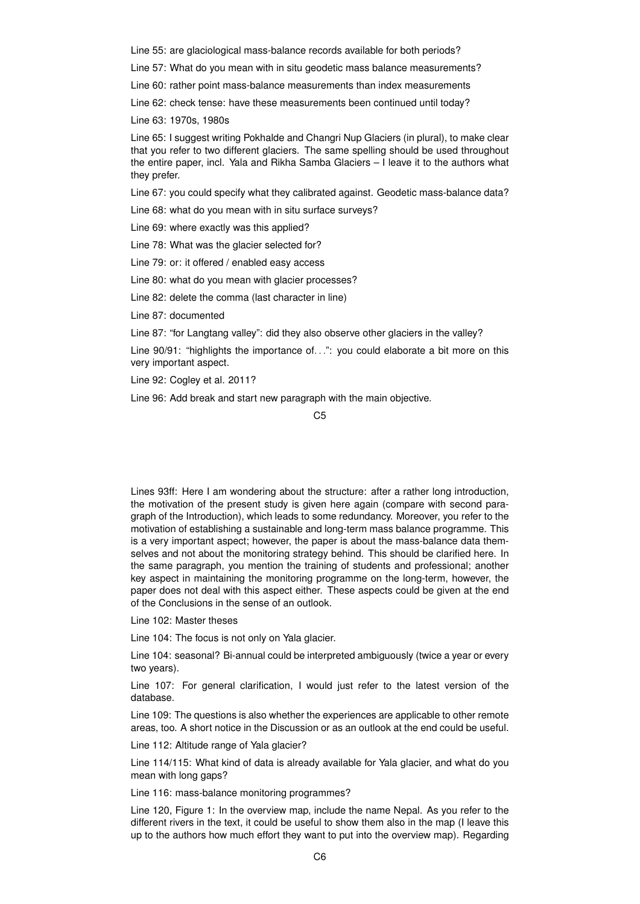Line 55: are glaciological mass-balance records available for both periods?

Line 57: What do you mean with in situ geodetic mass balance measurements?

Line 60: rather point mass-balance measurements than index measurements

Line 62: check tense: have these measurements been continued until today?

Line 63: 1970s, 1980s

Line 65: I suggest writing Pokhalde and Changri Nup Glaciers (in plural), to make clear that you refer to two different glaciers. The same spelling should be used throughout the entire paper, incl. Yala and Rikha Samba Glaciers – I leave it to the authors what they prefer.

Line 67: you could specify what they calibrated against. Geodetic mass-balance data?

Line 68: what do you mean with in situ surface surveys?

Line 69: where exactly was this applied?

Line 78: What was the glacier selected for?

Line 79: or: it offered / enabled easy access

Line 80: what do you mean with glacier processes?

Line 82: delete the comma (last character in line)

Line 87: documented

Line 87: "for Langtang valley": did they also observe other glaciers in the valley?

Line 90/91: "highlights the importance of...": you could elaborate a bit more on this very important aspect.

Line 92: Cogley et al. 2011?

Line 96: Add break and start new paragraph with the main objective.

 $C<sub>5</sub>$ 

Lines 93ff: Here I am wondering about the structure: after a rather long introduction, the motivation of the present study is given here again (compare with second paragraph of the Introduction), which leads to some redundancy. Moreover, you refer to the motivation of establishing a sustainable and long-term mass balance programme. This is a very important aspect; however, the paper is about the mass-balance data themselves and not about the monitoring strategy behind. This should be clarified here. In the same paragraph, you mention the training of students and professional; another key aspect in maintaining the monitoring programme on the long-term, however, the paper does not deal with this aspect either. These aspects could be given at the end of the Conclusions in the sense of an outlook.

Line 102: Master theses

Line 104: The focus is not only on Yala glacier.

Line 104: seasonal? Bi-annual could be interpreted ambiguously (twice a year or every two years).

Line 107: For general clarification, I would just refer to the latest version of the database.

Line 109: The questions is also whether the experiences are applicable to other remote areas, too. A short notice in the Discussion or as an outlook at the end could be useful.

Line 112: Altitude range of Yala glacier?

Line 114/115: What kind of data is already available for Yala glacier, and what do you mean with long gaps?

Line 116: mass-balance monitoring programmes?

Line 120, Figure 1: In the overview map, include the name Nepal. As you refer to the different rivers in the text, it could be useful to show them also in the map (I leave this up to the authors how much effort they want to put into the overview map). Regarding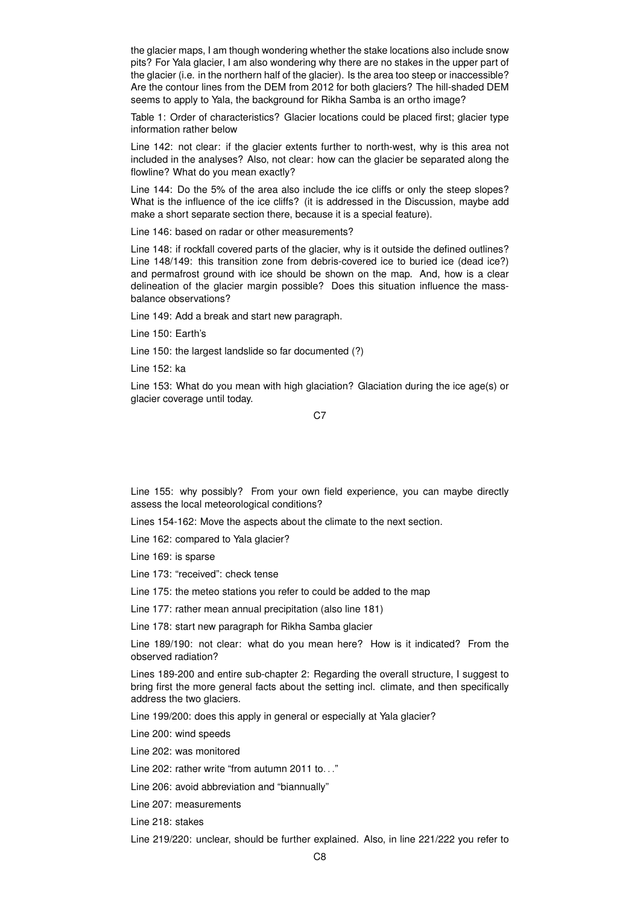the glacier maps, I am though wondering whether the stake locations also include snow pits? For Yala glacier, I am also wondering why there are no stakes in the upper part of the glacier (i.e. in the northern half of the glacier). Is the area too steep or inaccessible? Are the contour lines from the DEM from 2012 for both glaciers? The hill-shaded DEM seems to apply to Yala, the background for Rikha Samba is an ortho image?

Table 1: Order of characteristics? Glacier locations could be placed first; glacier type information rather below

Line 142: not clear: if the glacier extents further to north-west, why is this area not included in the analyses? Also, not clear: how can the glacier be separated along the flowline? What do you mean exactly?

Line 144: Do the 5% of the area also include the ice cliffs or only the steep slopes? What is the influence of the ice cliffs? (it is addressed in the Discussion, maybe add make a short separate section there, because it is a special feature).

Line 146: based on radar or other measurements?

Line 148: if rockfall covered parts of the glacier, why is it outside the defined outlines? Line 148/149: this transition zone from debris-covered ice to buried ice (dead ice?) and permafrost ground with ice should be shown on the map. And, how is a clear delineation of the glacier margin possible? Does this situation influence the massbalance observations?

Line 149: Add a break and start new paragraph.

Line 150: Earth's

Line 150: the largest landslide so far documented (?)

Line 152: ka

Line 153: What do you mean with high glaciation? Glaciation during the ice age(s) or glacier coverage until today.

C<sub>7</sub>

Line 155: why possibly? From your own field experience, you can maybe directly assess the local meteorological conditions?

Lines 154-162: Move the aspects about the climate to the next section.

Line 162: compared to Yala glacier?

Line 169: is sparse

Line 173: "received": check tense

Line 175: the meteo stations you refer to could be added to the map

Line 177: rather mean annual precipitation (also line 181)

Line 178: start new paragraph for Rikha Samba glacier

Line 189/190: not clear: what do you mean here? How is it indicated? From the observed radiation?

Lines 189-200 and entire sub-chapter 2: Regarding the overall structure, I suggest to bring first the more general facts about the setting incl. climate, and then specifically address the two glaciers.

Line 199/200: does this apply in general or especially at Yala glacier?

Line 200: wind speeds

Line 202: was monitored

Line 202: rather write "from autumn 2011 to..."

Line 206: avoid abbreviation and "biannually"

Line 207: measurements

Line 218: stakes

Line 219/220: unclear, should be further explained. Also, in line 221/222 you refer to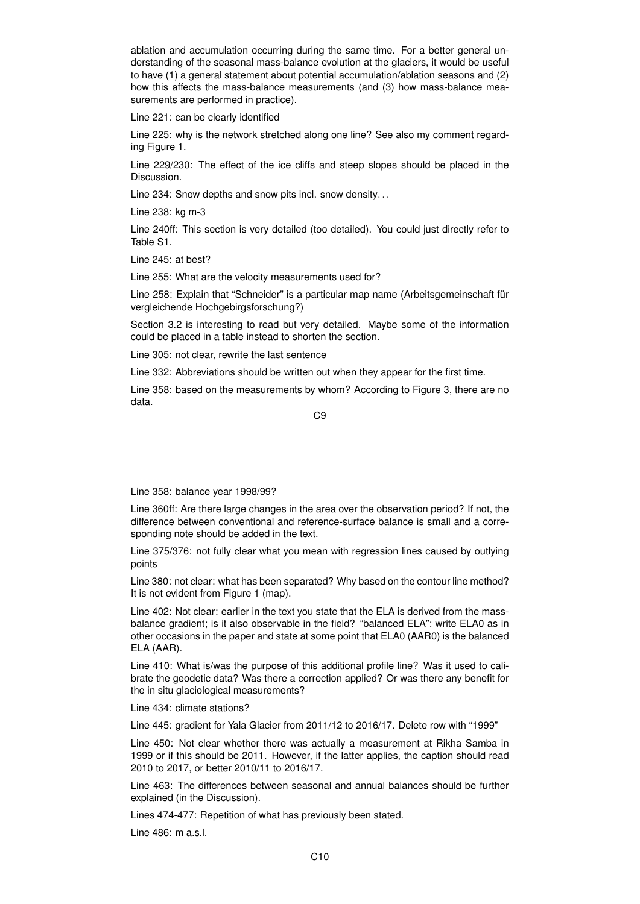ablation and accumulation occurring during the same time. For a better general understanding of the seasonal mass-balance evolution at the glaciers, it would be useful to have (1) a general statement about potential accumulation/ablation seasons and (2) how this affects the mass-balance measurements (and (3) how mass-balance measurements are performed in practice).

Line 221: can be clearly identified

Line 225: why is the network stretched along one line? See also my comment regarding Figure 1.

Line 229/230: The effect of the ice cliffs and steep slopes should be placed in the Discussion.

Line 234: Snow depths and snow pits incl. snow density...

Line 238: kg m-3

Line 240ff: This section is very detailed (too detailed). You could just directly refer to Table S1.

Line 245: at best?

Line 255: What are the velocity measurements used for?

Line 258: Explain that "Schneider" is a particular map name (Arbeitsgemeinschaft für vergleichende Hochgebirgsforschung?)

Section 3.2 is interesting to read but very detailed. Maybe some of the information could be placed in a table instead to shorten the section.

Line 305: not clear, rewrite the last sentence

Line 332: Abbreviations should be written out when they appear for the first time.

Line 358: based on the measurements by whom? According to Figure 3, there are no data.

C9

Line 358: balance year 1998/99?

Line 360ff: Are there large changes in the area over the observation period? If not, the difference between conventional and reference-surface balance is small and a corresponding note should be added in the text.

Line 375/376: not fully clear what you mean with regression lines caused by outlying points

Line 380: not clear: what has been separated? Why based on the contour line method? It is not evident from Figure 1 (map).

Line 402: Not clear: earlier in the text you state that the ELA is derived from the massbalance gradient; is it also observable in the field? "balanced ELA": write ELA0 as in other occasions in the paper and state at some point that ELA0 (AAR0) is the balanced ELA (AAR).

Line 410: What is/was the purpose of this additional profile line? Was it used to calibrate the geodetic data? Was there a correction applied? Or was there any benefit for the in situ glaciological measurements?

Line 434: climate stations?

Line 445: gradient for Yala Glacier from 2011/12 to 2016/17. Delete row with "1999"

Line 450: Not clear whether there was actually a measurement at Rikha Samba in 1999 or if this should be 2011. However, if the latter applies, the caption should read 2010 to 2017, or better 2010/11 to 2016/17.

Line 463: The differences between seasonal and annual balances should be further explained (in the Discussion).

Lines 474-477: Repetition of what has previously been stated.

 $Line 486$ : m a.s.l.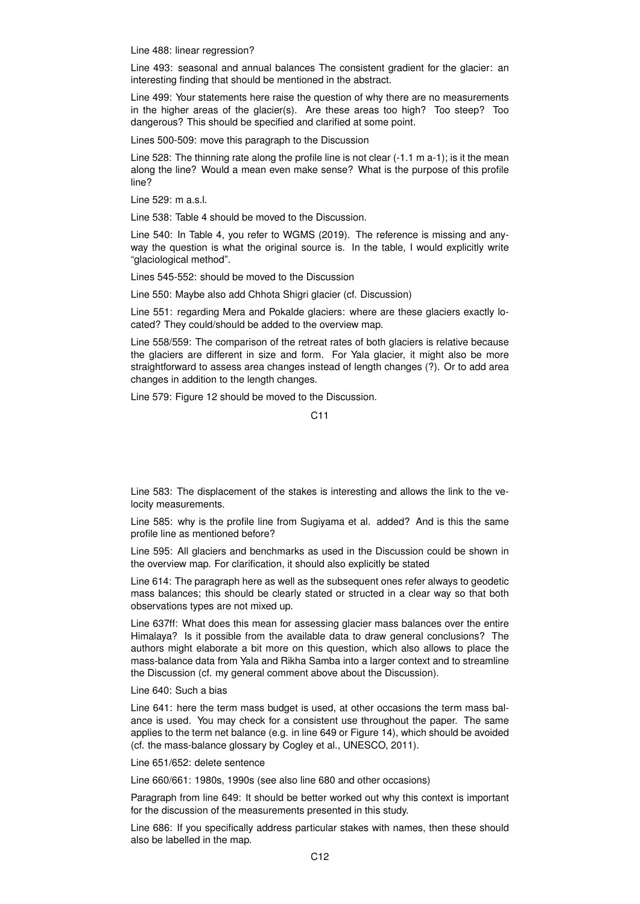Line 488: linear regression?

Line 493: seasonal and annual balances The consistent gradient for the glacier: an interesting finding that should be mentioned in the abstract.

Line 499: Your statements here raise the question of why there are no measurements in the higher areas of the glacier(s). Are these areas too high? Too steep? Too dangerous? This should be specified and clarified at some point.

Lines 500-509: move this paragraph to the Discussion

Line 528: The thinning rate along the profile line is not clear (-1.1 m a-1); is it the mean along the line? Would a mean even make sense? What is the purpose of this profile line?

Line 529: m a.s.l.

Line 538: Table 4 should be moved to the Discussion.

Line 540: In Table 4, you refer to WGMS (2019). The reference is missing and anyway the question is what the original source is. In the table, I would explicitly write "glaciological method".

Lines 545-552: should be moved to the Discussion

Line 550: Maybe also add Chhota Shigri glacier (cf. Discussion)

Line 551: regarding Mera and Pokalde glaciers: where are these glaciers exactly located? They could/should be added to the overview map.

Line 558/559: The comparison of the retreat rates of both glaciers is relative because the glaciers are different in size and form. For Yala glacier, it might also be more straightforward to assess area changes instead of length changes (?). Or to add area changes in addition to the length changes.

Line 579: Figure 12 should be moved to the Discussion.

Line 583: The displacement of the stakes is interesting and allows the link to the velocity measurements.

Line 585: why is the profile line from Sugiyama et al. added? And is this the same profile line as mentioned before?

Line 595: All glaciers and benchmarks as used in the Discussion could be shown in the overview map. For clarification, it should also explicitly be stated

Line 614: The paragraph here as well as the subsequent ones refer always to geodetic mass balances; this should be clearly stated or structed in a clear way so that both observations types are not mixed up.

Line 637ff: What does this mean for assessing glacier mass balances over the entire Himalaya? Is it possible from the available data to draw general conclusions? The authors might elaborate a bit more on this question, which also allows to place the mass-balance data from Yala and Rikha Samba into a larger context and to streamline the Discussion (cf. my general comment above about the Discussion).

## Line 640: Such a bias

Line 641: here the term mass budget is used, at other occasions the term mass balance is used. You may check for a consistent use throughout the paper. The same applies to the term net balance (e.g. in line 649 or Figure 14), which should be avoided (cf. the mass-balance glossary by Cogley et al., UNESCO, 2011).

Line 651/652: delete sentence

Line 660/661: 1980s, 1990s (see also line 680 and other occasions)

Paragraph from line 649: It should be better worked out why this context is important for the discussion of the measurements presented in this study.

Line 686: If you specifically address particular stakes with names, then these should also be labelled in the map.

C11